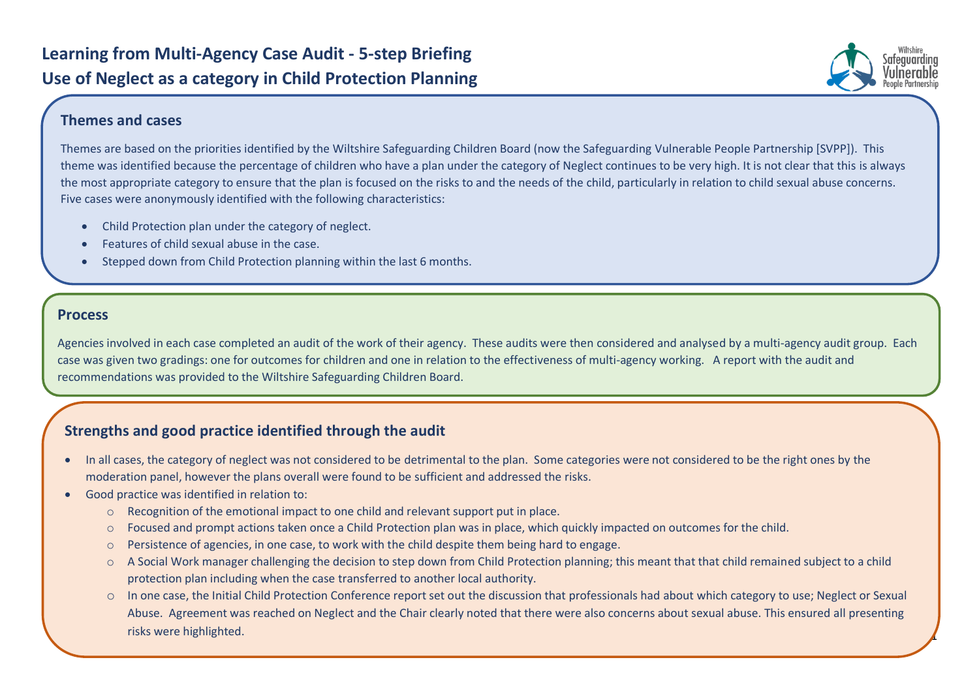

1

## **Themes and cases**

Themes are based on the priorities identified by the Wiltshire Safeguarding Children Board (now the Safeguarding Vulnerable People Partnership [SVPP]). This theme was identified because the percentage of children who have a plan under the category of Neglect continues to be very high. It is not clear that this is always the most appropriate category to ensure that the plan is focused on the risks to and the needs of the child, particularly in relation to child sexual abuse concerns. Five cases were anonymously identified with the following characteristics:

- Child Protection plan under the category of neglect.
- Features of child sexual abuse in the case.
- Stepped down from Child Protection planning within the last 6 months.

## **Process**

Agencies involved in each case completed an audit of the work of their agency. These audits were then considered and analysed by a multi-agency audit group. Each case was given two gradings: one for outcomes for children and one in relation to the effectiveness of multi-agency working. A report with the audit and recommendations was provided to the Wiltshire Safeguarding Children Board.

## **Strengths and good practice identified through the audit**

- In all cases, the category of neglect was not considered to be detrimental to the plan. Some categories were not considered to be the right ones by the moderation panel, however the plans overall were found to be sufficient and addressed the risks.
- Good practice was identified in relation to:
	- o Recognition of the emotional impact to one child and relevant support put in place.
	- o Focused and prompt actions taken once a Child Protection plan was in place, which quickly impacted on outcomes for the child.
	- $\circ$  Persistence of agencies, in one case, to work with the child despite them being hard to engage.
	- o A Social Work manager challenging the decision to step down from Child Protection planning; this meant that that child remained subject to a child protection plan including when the case transferred to another local authority.
	- o In one case, the Initial Child Protection Conference report set out the discussion that professionals had about which category to use; Neglect or Sexual Abuse. Agreement was reached on Neglect and the Chair clearly noted that there were also concerns about sexual abuse. This ensured all presenting risks were highlighted.